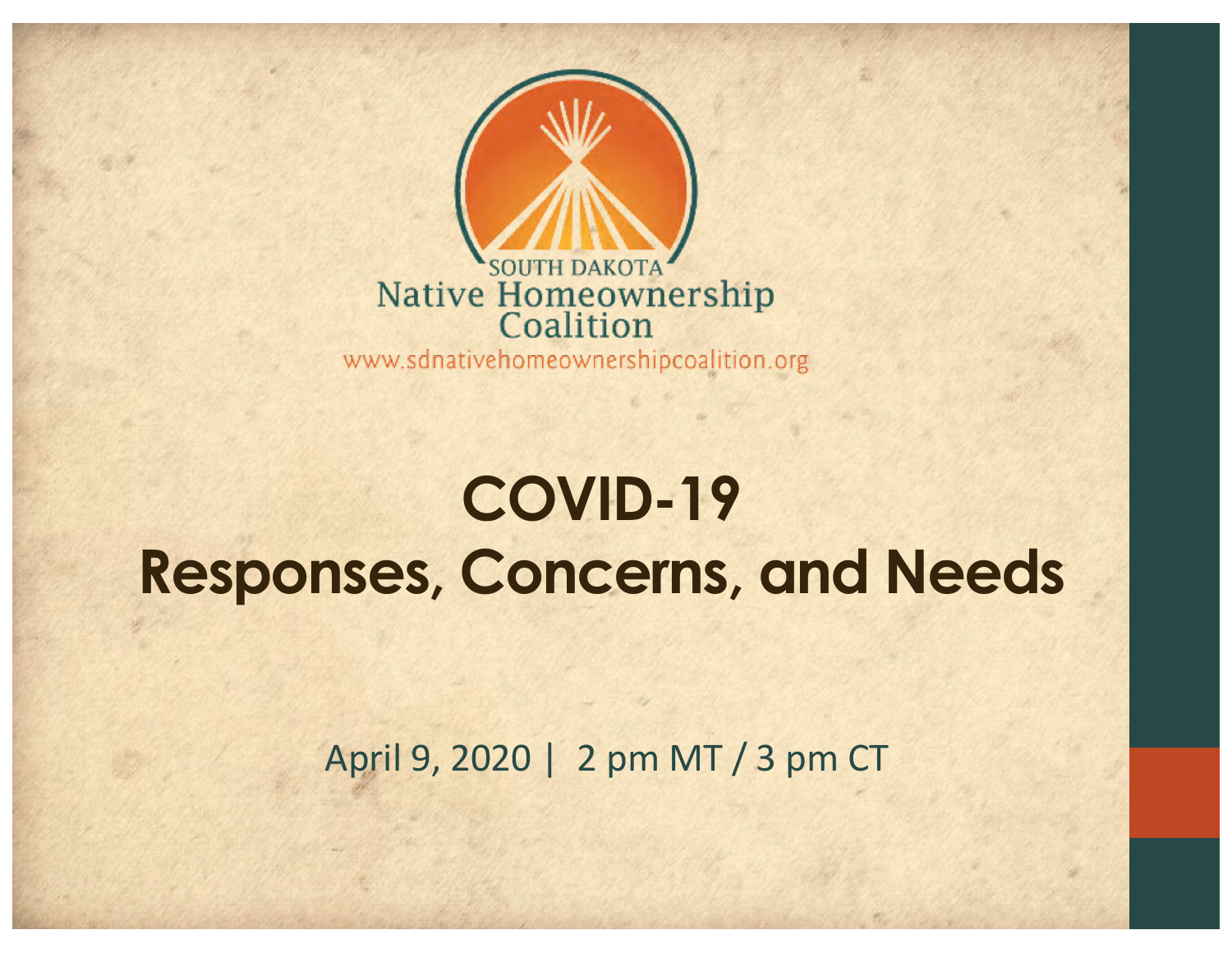

### **COVID-19 Responses, Concerns, and Needs**

April 9, 2020 | 2 pm MT / 3 pm CT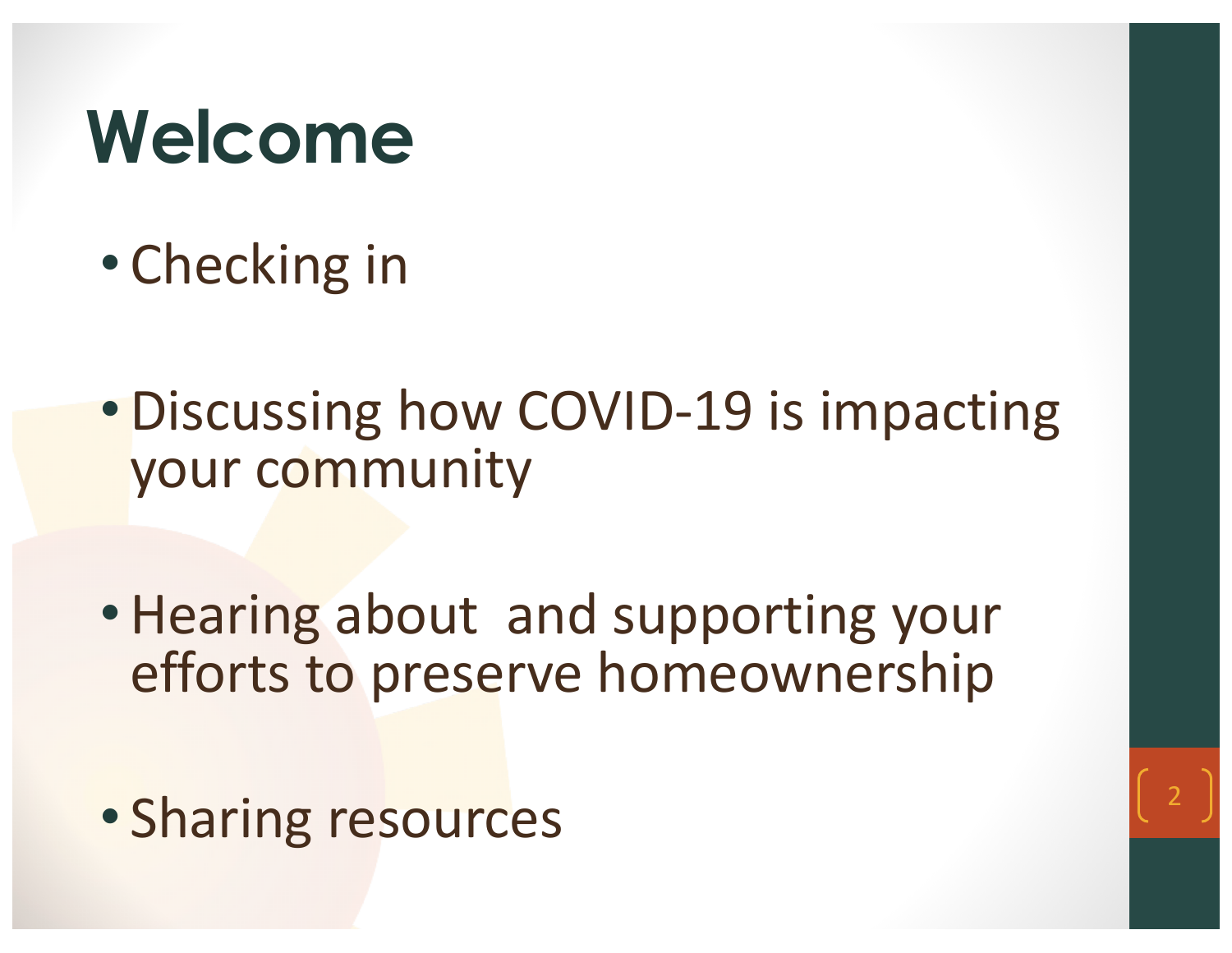## **Welcome**

- Checking in
- •Discussing how COVID-19 is impacting your community
- •Hearing about and supporting your efforts to preserve homeownership
- Sharing resources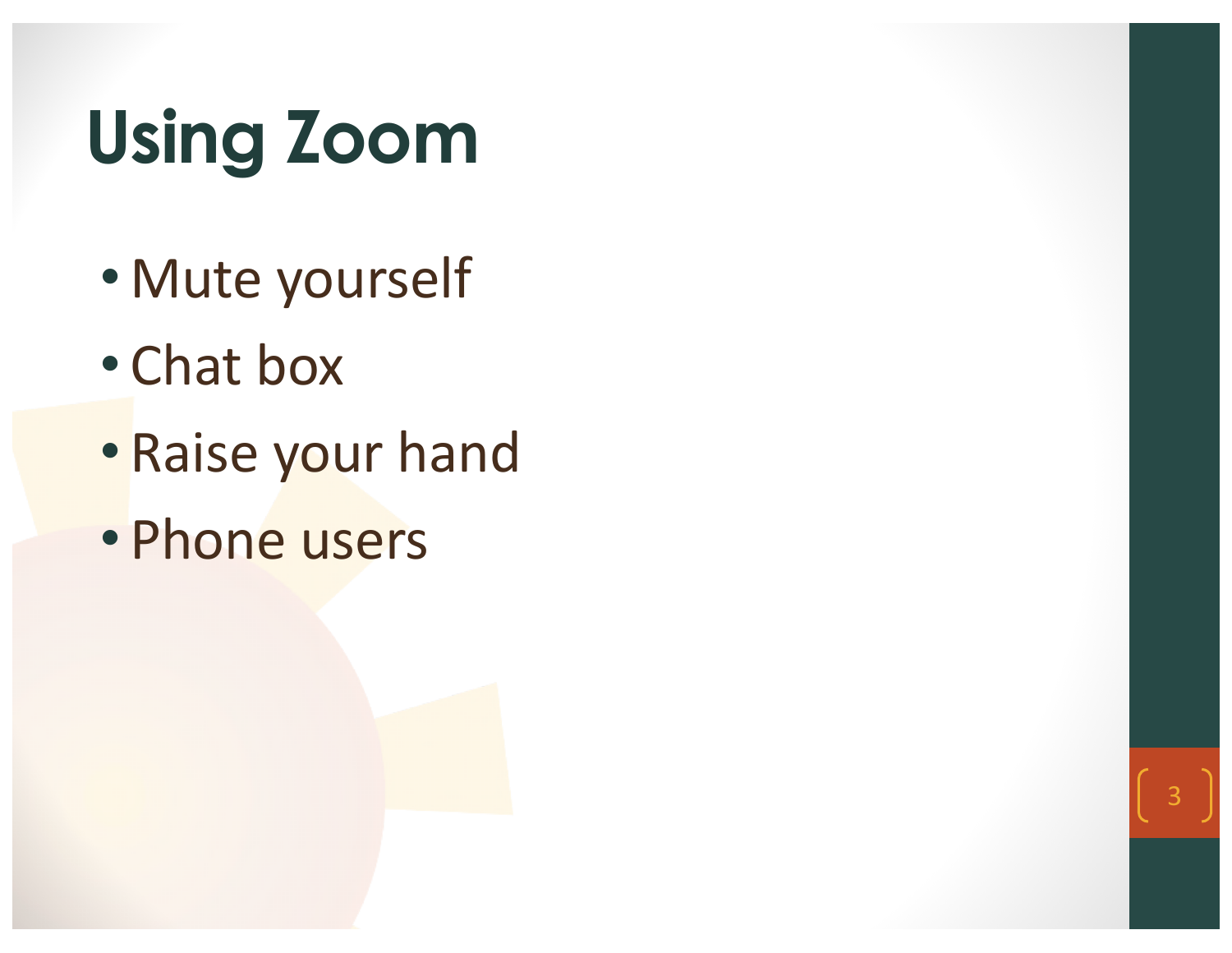## **Using Zoom**

- Mute yourself
- Chat box
- Raise your hand

3

• Phone users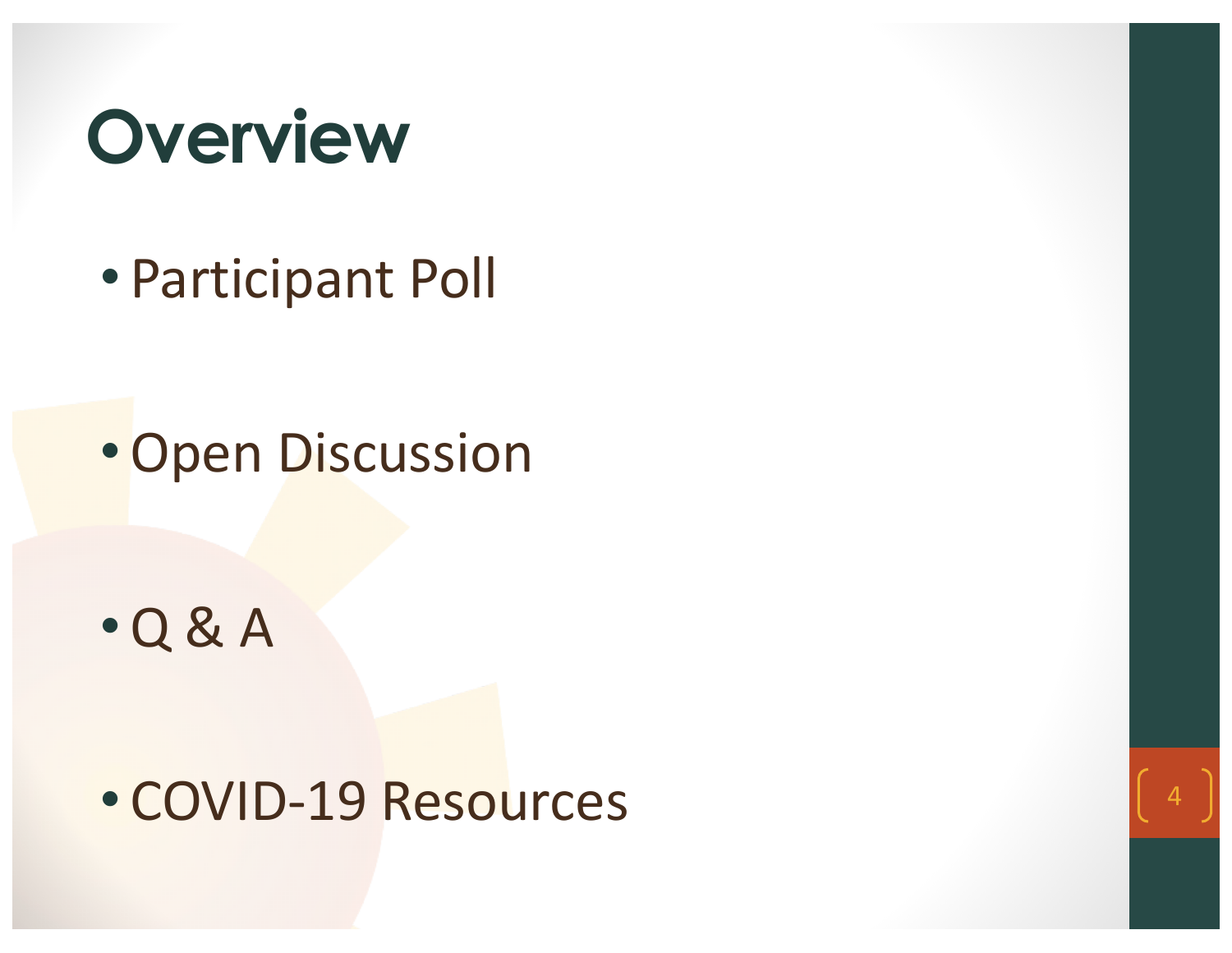

• Participant Poll

•Open Discussion

•Q & A

#### • COVID-19 Resources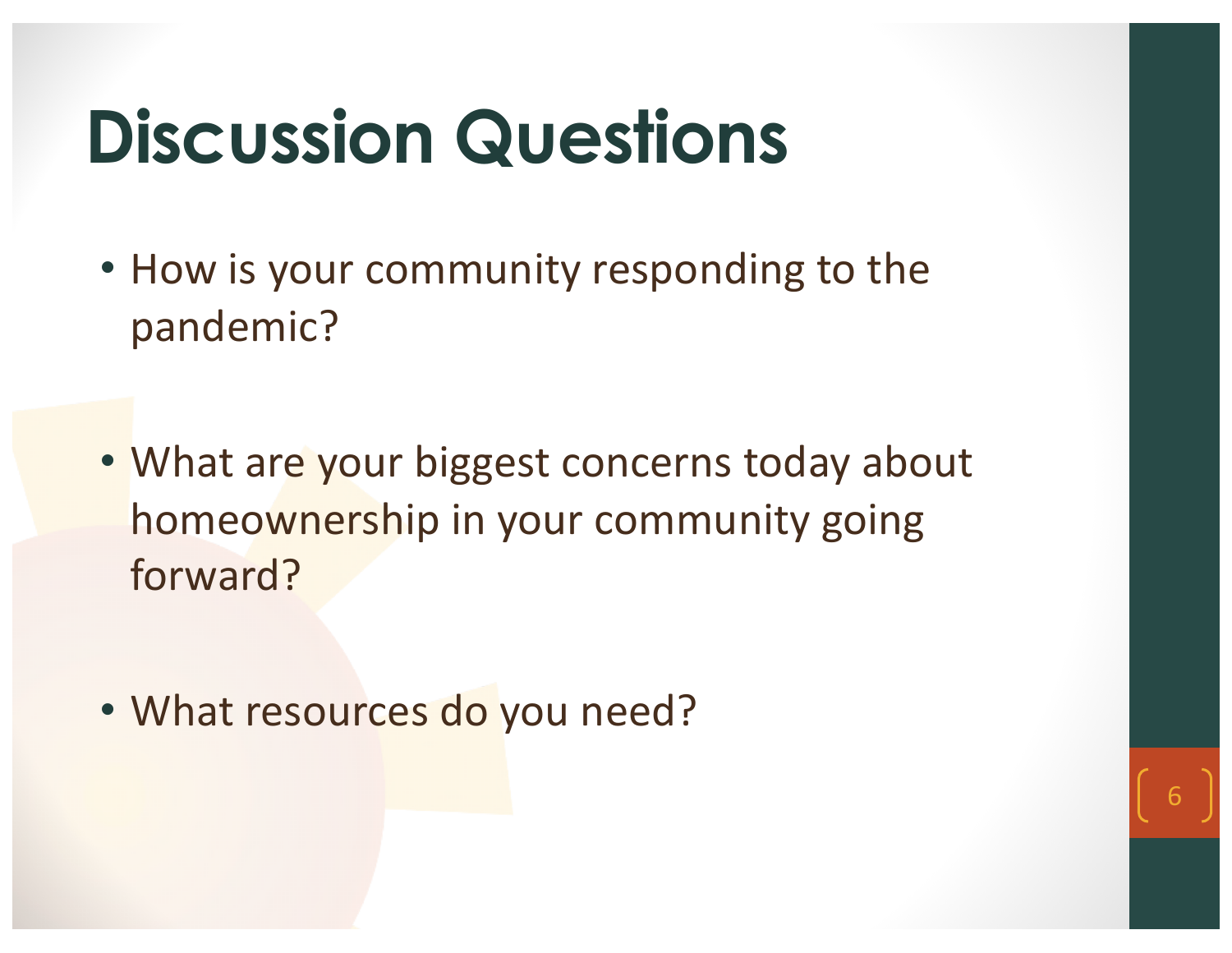## **Discussion Questions**

- How is your community responding to the pandemic?
- What are your biggest concerns today about homeownership in your community going forward?

6

• What resources do you need?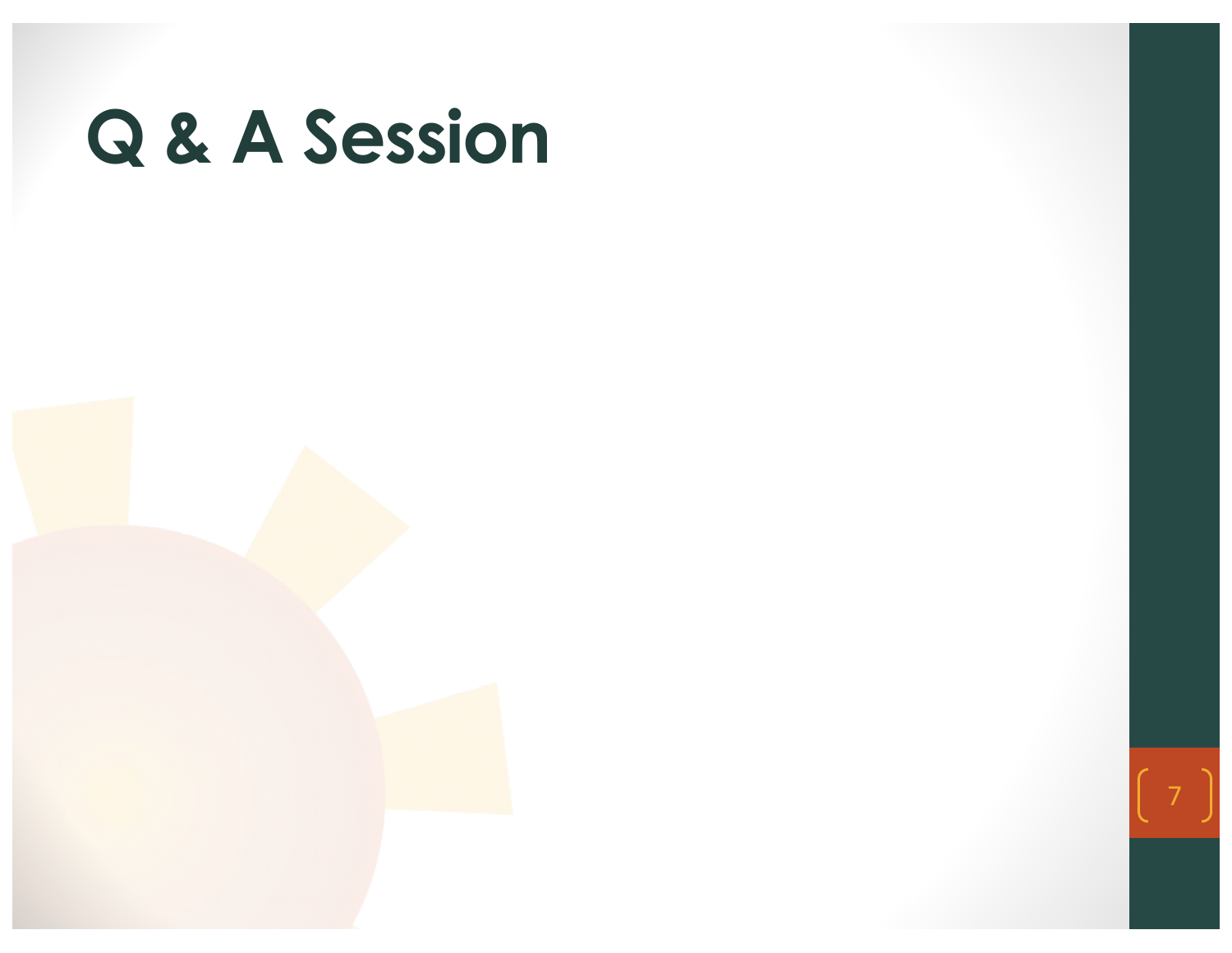

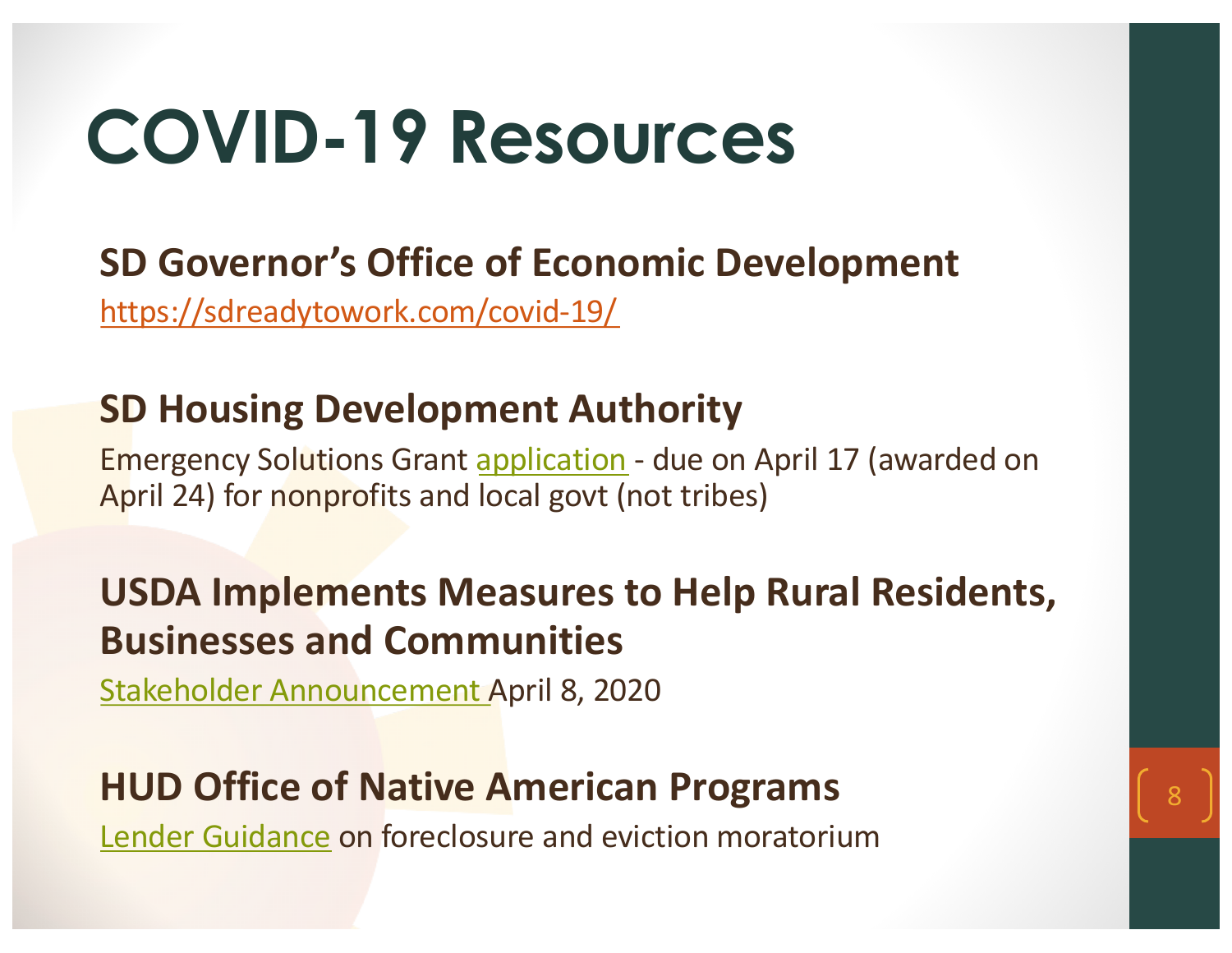## **COVID-19 Resources**

#### **SD Governor's Office of Economic Development**

<https://sdreadytowork.com/covid-19/>

#### **SD Housing Development Authority**

Emergency Solutions Gran[t application](https://www.sdhda.org/images/docu/housing-development/CARES-Act-Funding-Application.pdf) - due on April 17 (awarded on April 24) for nonprofits and local govt (not tribes)

#### **USDA Implements Measures to Help Rural Residents, Businesses and Communities**

8

[Stakeholder Announcement](https://www.rd.usda.gov/sites/default/files/USDA_RD_SA_COVID19_ProgramImmediateActions04082020.pdf) April 8, 2020

#### **HUD Office of Native American Programs**

[Lender Guidance](https://www.hud.gov/program_offices/public_indian_housing/ih/homeownership/184/lenders) on foreclosure and eviction moratorium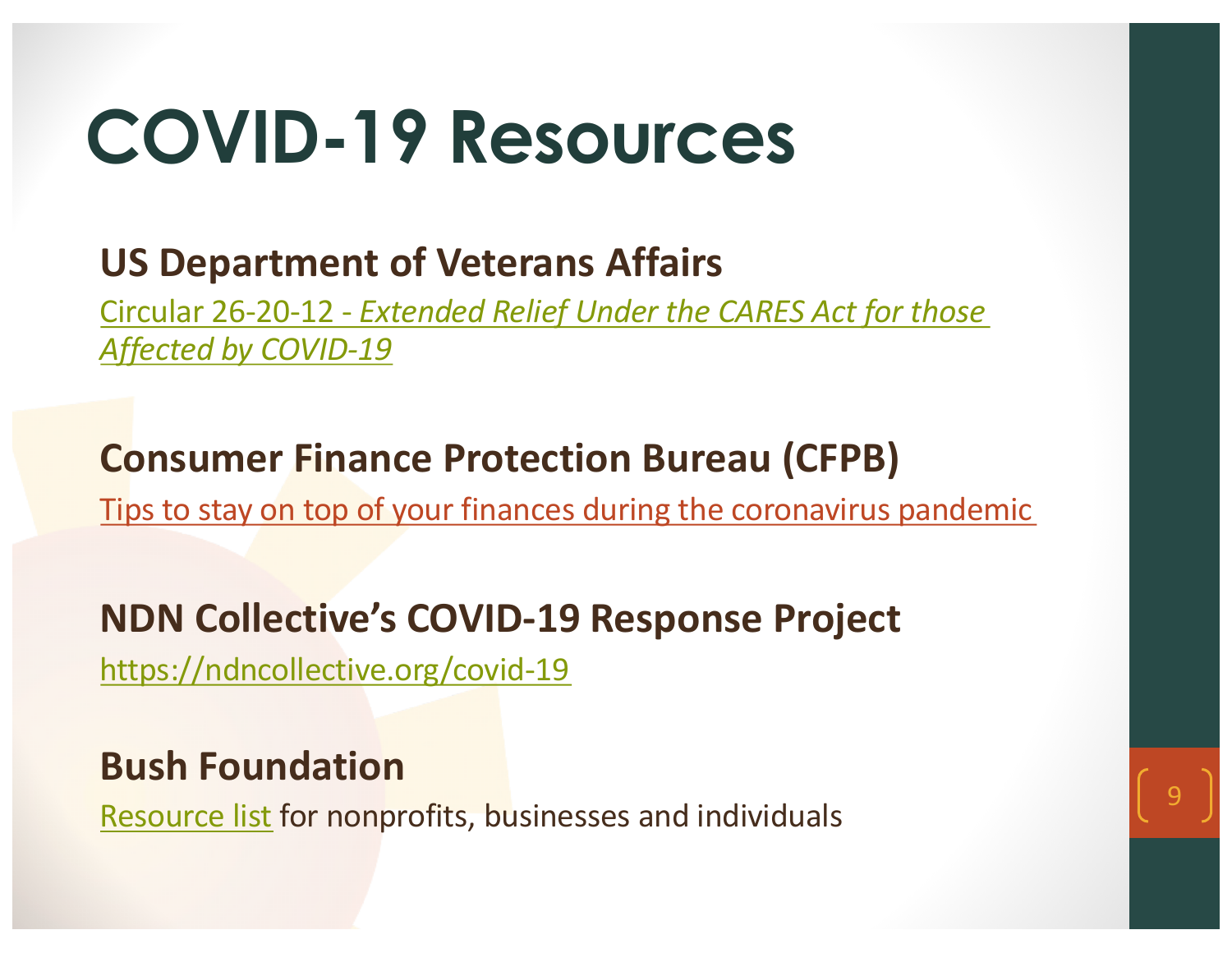## **COVID-19 Resources**

#### **US Department of Veterans Affairs**

Circular 26-20-12 - *[Extended Relief Under the CARES Act for those](https://www.benefits.va.gov/HOMELOANS/documents/circulars/26_20_12.pdf) Affected by COVID-19*

#### **Consumer Finance Protection Bureau (CFPB)**

[Tips to stay on top of your finances during the coronavirus pandemic](https://nativecdfi.us2.list-manage.com/track/click?u=223682fc899f79019d1500fb9&id=e6807aebcf&e=3dee88c5d3)

#### **NDN Collective's COVID-19 Response Project**

<https://ndncollective.org/covid-19>

#### **Bush Foundation**

[Resource list](https://www.bushfoundation.org/covid-19-resources) for nonprofits, businesses and individuals